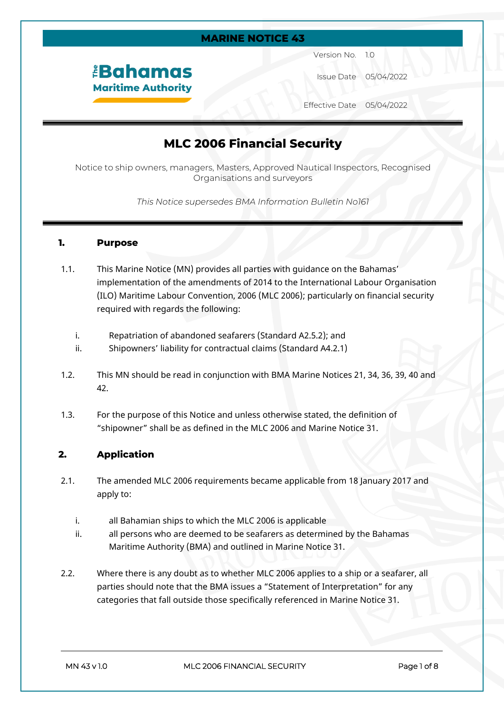# **MARINE NOTICE 43** Version No. 1.0 *<u><b>EBahamas</u>* Issue Date 05/04/2022 **Maritime Authority** Effective Date 05/04/2022

## **MLC 2006 Financial Security**

Notice to ship owners, managers, Masters, Approved Nautical Inspectors, Recognised Organisations and surveyors

*This Notice supersedes BMA Information Bulletin No161*

### **1. Purpose**

- 1.1. This Marine Notice (MN) provides all parties with guidance on the Bahamas' implementation of the amendments of 2014 to the International Labour Organisation (ILO) Maritime Labour Convention, 2006 (MLC 2006); particularly on financial security required with regards the following:
	- i. Repatriation of abandoned seafarers (Standard A2.5.2); and
	- ii. Shipowners' liability for contractual claims (Standard A4.2.1)
- 1.2. This MN should be read in conjunction with BMA Marine Notices 21, 34, 36, 39, 40 and 42.
- 1.3. For the purpose of this Notice and unless otherwise stated, the definition of "shipowner" shall be as defined in the MLC 2006 and Marine Notice 31.

## **2. Application**

- 2.1. The amended MLC 2006 requirements became applicable from 18 January 2017 and apply to:
	- i. all Bahamian ships to which the MLC 2006 is applicable
	- ii. all persons who are deemed to be seafarers as determined by the Bahamas Maritime Authority (BMA) and outlined in Marine Notice 31.
- 2.2. Where there is any doubt as to whether MLC 2006 applies to a ship or a seafarer, all parties should note that the BMA issues a "Statement of Interpretation" for any categories that fall outside those specifically referenced in Marine Notice 31.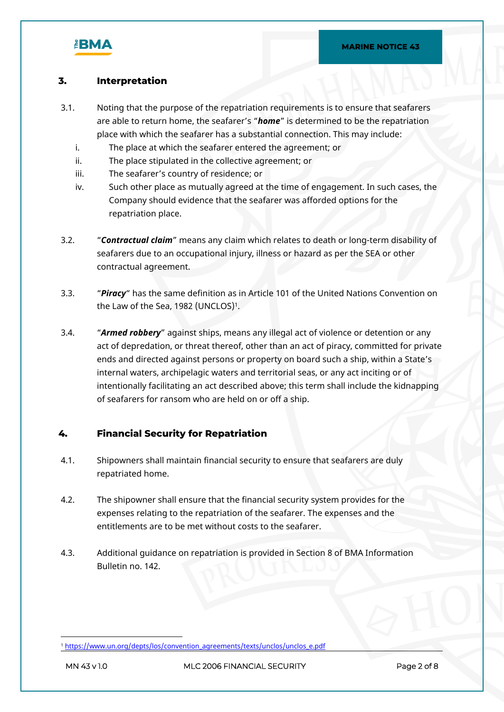

## **3. Interpretation**

- 3.1. Noting that the purpose of the repatriation requirements is to ensure that seafarers are able to return home, the seafarer's "*home*" is determined to be the repatriation place with which the seafarer has a substantial connection. This may include:
	- i. The place at which the seafarer entered the agreement; or
	- ii. The place stipulated in the collective agreement; or
	- iii. The seafarer's country of residence; or
	- iv. Such other place as mutually agreed at the time of engagement. In such cases, the Company should evidence that the seafarer was afforded options for the repatriation place.
- 3.2. "*Contractual claim*" means any claim which relates to death or long-term disability of seafarers due to an occupational injury, illness or hazard as per the SEA or other contractual agreement.
- 3.3. "*Piracy*" has the same definition as in Article 101 of the United Nations Convention on the Law of the Sea, 1982 (UNCLOS)<sup>1</sup>.
- 3.4. "*Armed robbery*" against ships, means any illegal act of violence or detention or any act of depredation, or threat thereof, other than an act of piracy, committed for private ends and directed against persons or property on board such a ship, within a State's internal waters, archipelagic waters and territorial seas, or any act inciting or of intentionally facilitating an act described above; this term shall include the kidnapping of seafarers for ransom who are held on or off a ship.

### **4. Financial Security for Repatriation**

- 4.1. Shipowners shall maintain financial security to ensure that seafarers are duly repatriated home.
- 4.2. The shipowner shall ensure that the financial security system provides for the expenses relating to the repatriation of the seafarer. The expenses and the entitlements are to be met without costs to the seafarer.
- 4.3. Additional guidance on repatriation is provided in Section 8 of BMA Information Bulletin no. 142.

<sup>&</sup>lt;sup>1</sup> [https://www.un.org/depts/los/convention\\_agreements/texts/unclos/unclos\\_e.pdf](https://www.un.org/depts/los/convention_agreements/texts/unclos/unclos_e.pdf)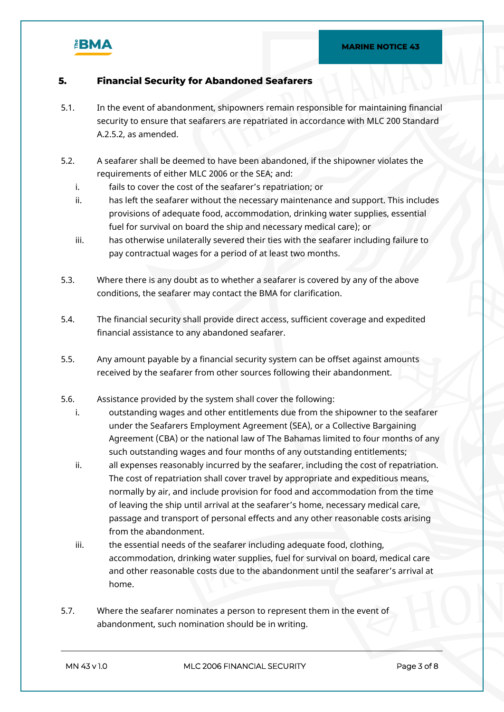

## **5. Financial Security for Abandoned Seafarers**

- 5.1. In the event of abandonment, shipowners remain responsible for maintaining financial security to ensure that seafarers are repatriated in accordance with MLC 200 Standard A.2.5.2, as amended.
- 5.2. A seafarer shall be deemed to have been abandoned, if the shipowner violates the requirements of either MLC 2006 or the SEA; and:
	- i. fails to cover the cost of the seafarer's repatriation; or
	- ii. has left the seafarer without the necessary maintenance and support. This includes provisions of adequate food, accommodation, drinking water supplies, essential fuel for survival on board the ship and necessary medical care); or
	- iii. has otherwise unilaterally severed their ties with the seafarer including failure to pay contractual wages for a period of at least two months.
- 5.3. Where there is any doubt as to whether a seafarer is covered by any of the above conditions, the seafarer may contact the BMA for clarification.
- 5.4. The financial security shall provide direct access, sufficient coverage and expedited financial assistance to any abandoned seafarer.
- 5.5. Any amount payable by a financial security system can be offset against amounts received by the seafarer from other sources following their abandonment.
- 5.6. Assistance provided by the system shall cover the following:
	- i. outstanding wages and other entitlements due from the shipowner to the seafarer under the Seafarers Employment Agreement (SEA), or a Collective Bargaining Agreement (CBA) or the national law of The Bahamas limited to four months of any such outstanding wages and four months of any outstanding entitlements;
	- ii. all expenses reasonably incurred by the seafarer, including the cost of repatriation. The cost of repatriation shall cover travel by appropriate and expeditious means, normally by air, and include provision for food and accommodation from the time of leaving the ship until arrival at the seafarer's home, necessary medical care, passage and transport of personal effects and any other reasonable costs arising from the abandonment.
	- iii. the essential needs of the seafarer including adequate food, clothing, accommodation, drinking water supplies, fuel for survival on board, medical care and other reasonable costs due to the abandonment until the seafarer's arrival at home.
- 5.7. Where the seafarer nominates a person to represent them in the event of abandonment, such nomination should be in writing.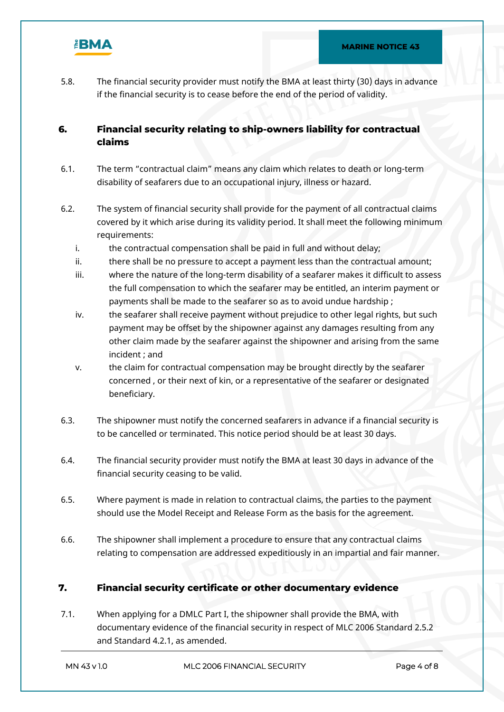

5.8. The financial security provider must notify the BMA at least thirty (30) days in advance if the financial security is to cease before the end of the period of validity.

## **6. Financial security relating to ship-owners liability for contractual claims**

- 6.1. The term "contractual claim" means any claim which relates to death or long-term disability of seafarers due to an occupational injury, illness or hazard.
- 6.2. The system of financial security shall provide for the payment of all contractual claims covered by it which arise during its validity period. It shall meet the following minimum requirements:
	- i. the contractual compensation shall be paid in full and without delay;
	- ii. there shall be no pressure to accept a payment less than the contractual amount;
	- iii. where the nature of the long-term disability of a seafarer makes it difficult to assess the full compensation to which the seafarer may be entitled, an interim payment or payments shall be made to the seafarer so as to avoid undue hardship ;
	- iv. the seafarer shall receive payment without prejudice to other legal rights, but such payment may be offset by the shipowner against any damages resulting from any other claim made by the seafarer against the shipowner and arising from the same incident ; and
	- v. the claim for contractual compensation may be brought directly by the seafarer concerned , or their next of kin, or a representative of the seafarer or designated beneficiary.
- 6.3. The shipowner must notify the concerned seafarers in advance if a financial security is to be cancelled or terminated. This notice period should be at least 30 days.
- 6.4. The financial security provider must notify the BMA at least 30 days in advance of the financial security ceasing to be valid.
- 6.5. Where payment is made in relation to contractual claims, the parties to the payment should use the Model Receipt and Release Form as the basis for the agreement.
- 6.6. The shipowner shall implement a procedure to ensure that any contractual claims relating to compensation are addressed expeditiously in an impartial and fair manner.

### **7. Financial security certificate or other documentary evidence**

7.1. When applying for a DMLC Part I, the shipowner shall provide the BMA, with documentary evidence of the financial security in respect of MLC 2006 Standard 2.5.2 and Standard 4.2.1, as amended.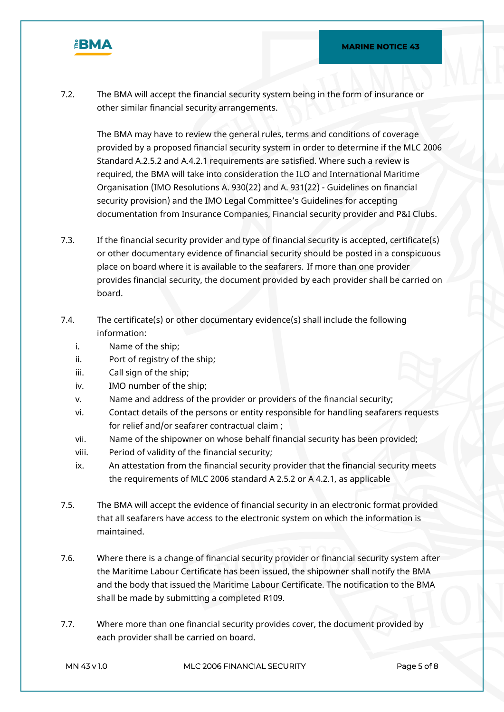

7.2. The BMA will accept the financial security system being in the form of insurance or other similar financial security arrangements.

The BMA may have to review the general rules, terms and conditions of coverage provided by a proposed financial security system in order to determine if the MLC 2006 Standard A.2.5.2 and A.4.2.1 requirements are satisfied. Where such a review is required, the BMA will take into consideration the ILO and International Maritime Organisation (IMO Resolutions A. 930(22) and A. 931(22) - Guidelines on financial security provision) and the IMO Legal Committee's Guidelines for accepting documentation from Insurance Companies, Financial security provider and P&I Clubs.

- 7.3. If the financial security provider and type of financial security is accepted, certificate(s) or other documentary evidence of financial security should be posted in a conspicuous place on board where it is available to the seafarers. If more than one provider provides financial security, the document provided by each provider shall be carried on board.
- 7.4. The certificate(s) or other documentary evidence(s) shall include the following information:
	- i. Name of the ship;
	- ii. Port of registry of the ship;
	- iii. Call sign of the ship;
	- iv. IMO number of the ship;
	- v. Name and address of the provider or providers of the financial security;
	- vi. Contact details of the persons or entity responsible for handling seafarers requests for relief and/or seafarer contractual claim ;
	- vii. Name of the shipowner on whose behalf financial security has been provided;
	- viii. Period of validity of the financial security;
	- ix. An attestation from the financial security provider that the financial security meets the requirements of MLC 2006 standard A 2.5.2 or A 4.2.1, as applicable
- 7.5. The BMA will accept the evidence of financial security in an electronic format provided that all seafarers have access to the electronic system on which the information is maintained.
- 7.6. Where there is a change of financial security provider or financial security system after the Maritime Labour Certificate has been issued, the shipowner shall notify the BMA and the body that issued the Maritime Labour Certificate. The notification to the BMA shall be made by submitting a completed R109.
- 7.7. Where more than one financial security provides cover, the document provided by each provider shall be carried on board.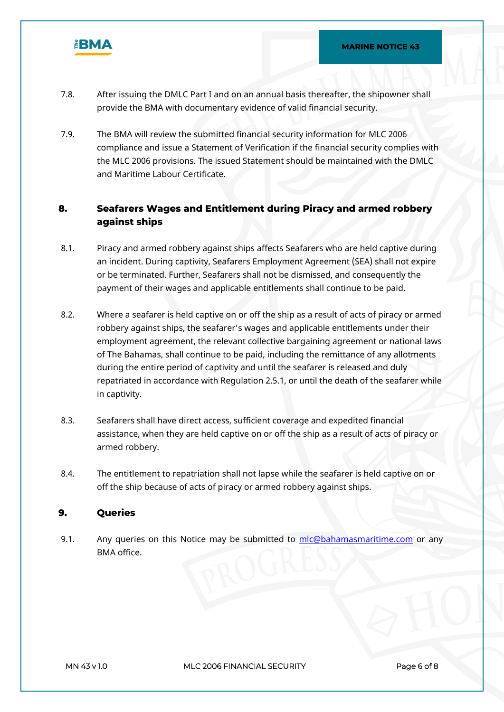

- 7.8. After issuing the DMLC Part I and on an annual basis thereafter, the shipowner shall provide the BMA with documentary evidence of valid financial security.
- 7.9. The BMA will review the submitted financial security information for MLC 2006 compliance and issue a Statement of Verification if the financial security complies with the MLC 2006 provisions. The issued Statement should be maintained with the DMLC and Maritime Labour Certificate.

## **8. Seafarers Wages and Entitlement during Piracy and armed robbery against ships**

- 8.1. Piracy and armed robbery against ships affects Seafarers who are held captive during an incident. During captivity, Seafarers Employment Agreement (SEA) shall not expire or be terminated. Further, Seafarers shall not be dismissed, and consequently the payment of their wages and applicable entitlements shall continue to be paid.
- 8.2. Where a seafarer is held captive on or off the ship as a result of acts of piracy or armed robbery against ships, the seafarer's wages and applicable entitlements under their employment agreement, the relevant collective bargaining agreement or national laws of The Bahamas, shall continue to be paid, including the remittance of any allotments during the entire period of captivity and until the seafarer is released and duly repatriated in accordance with Regulation 2.5.1, or until the death of the seafarer while in captivity.
- 8.3. Seafarers shall have direct access, sufficient coverage and expedited financial assistance, when they are held captive on or off the ship as a result of acts of piracy or armed robbery.
- 8.4. The entitlement to repatriation shall not lapse while the seafarer is held captive on or off the ship because of acts of piracy or armed robbery against ships.

### **9. Queries**

9.1. Any queries on this Notice may be submitted to [mlc@bahamasmaritime.com](mailto:mlc@bahamasmaritime.com) or any BMA office.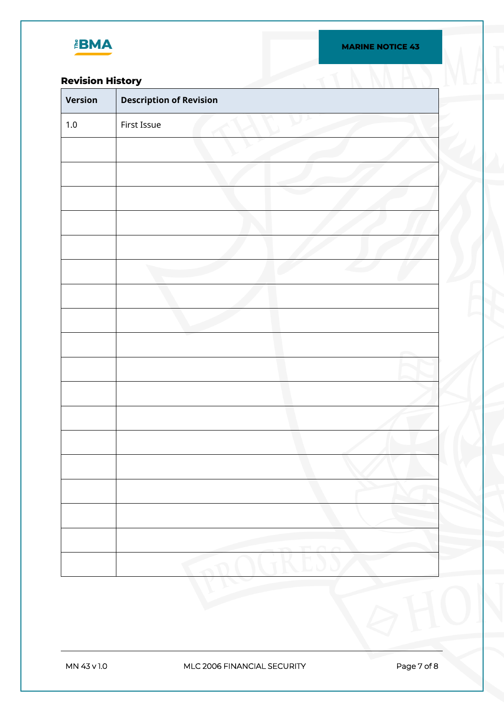

## **Revision History**

| <b>Revision History</b> |                                |  |
|-------------------------|--------------------------------|--|
| Version                 | <b>Description of Revision</b> |  |
| $1.0\,$                 | First Issue                    |  |
|                         |                                |  |
|                         |                                |  |
|                         |                                |  |
|                         |                                |  |
|                         |                                |  |
|                         |                                |  |
|                         |                                |  |
|                         |                                |  |
|                         |                                |  |
|                         |                                |  |
|                         |                                |  |
|                         |                                |  |
|                         |                                |  |
|                         |                                |  |
|                         |                                |  |
|                         |                                |  |
|                         |                                |  |
|                         |                                |  |